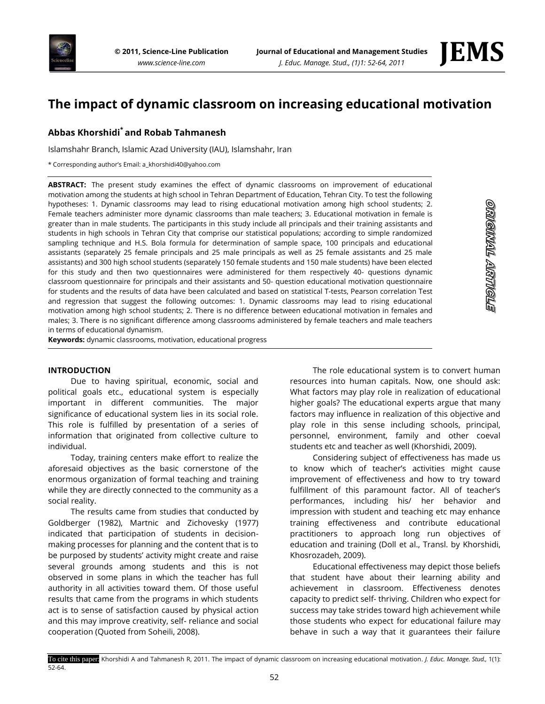

# **The impact of dynamic classroom on increasing educational motivation**

## **Abbas Khorshidi\* and Robab Tahmanesh**

Islamshahr Branch, Islamic Azad University (IAU), Islamshahr, Iran

\* Corresponding author's Email: a\_khorshidi40@yahoo.com

**ABSTRACT:** The present study examines the effect of dynamic classrooms on improvement of educational motivation among the students at high school in Tehran Department of Education, Tehran City. To test the following hypotheses: 1. Dynamic classrooms may lead to rising educational motivation among high school students; 2. Female teachers administer more dynamic classrooms than male teachers; 3. Educational motivation in female is greater than in male students. The participants in this study include all principals and their training assistants and students in high schools in Tehran City that comprise our statistical populations; according to simple randomized sampling technique and H.S. Bola formula for determination of sample space, 100 principals and educational assistants (separately 25 female principals and 25 male principals as well as 25 female assistants and 25 male assistants) and 300 high school students (separately 150 female students and 150 male students) have been elected for this study and then two questionnaires were administered for them respectively 40- questions dynamic classroom questionnaire for principals and their assistants and 50- question educational motivation questionnaire for students and the results of data have been calculated and based on statistical T-tests, Pearson correlation Test and regression that suggest the following outcomes: 1. Dynamic classrooms may lead to rising educational motivation among high school students; 2. There is no difference between educational motivation in females and males; 3. There is no significant difference among classrooms administered by female teachers and male teachers in terms of educational dynamism.

**Keywords:** dynamic classrooms, motivation, educational progress

#### **INTRODUCTION**

Due to having spiritual, economic, social and political goals etc., educational system is especially important in different communities. The major significance of educational system lies in its social role. This role is fulfilled by presentation of a series of information that originated from collective culture to individual.

Today, training centers make effort to realize the aforesaid objectives as the basic cornerstone of the enormous organization of formal teaching and training while they are directly connected to the community as a social reality.

The results came from studies that conducted by Goldberger (1982), Martnic and Zichovesky (1977) indicated that participation of students in decisionmaking processes for planning and the content that is to be purposed by students' activity might create and raise several grounds among students and this is not observed in some plans in which the teacher has full authority in all activities toward them. Of those useful results that came from the programs in which students act is to sense of satisfaction caused by physical action and this may improve creativity, self- reliance and social cooperation (Quoted from Soheili, 2008).

The role educational system is to convert human resources into human capitals. Now, one should ask: What factors may play role in realization of educational higher goals? The educational experts argue that many factors may influence in realization of this objective and play role in this sense including schools, principal, personnel, environment, family and other coeval students etc and teacher as well (Khorshidi, 2009).

Considering subject of effectiveness has made us to know which of teacher's activities might cause improvement of effectiveness and how to try toward fulfillment of this paramount factor. All of teacher's performances, including his/ her behavior and impression with student and teaching etc may enhance training effectiveness and contribute educational practitioners to approach long run objectives of education and training (Doll et al., Transl. by Khorshidi, Khosrozadeh, 2009).

Educational effectiveness may depict those beliefs that student have about their learning ability and achievement in classroom. Effectiveness denotes capacity to predict self- thriving. Children who expect for success may take strides toward high achievement while those students who expect for educational failure may behave in such a way that it guarantees their failure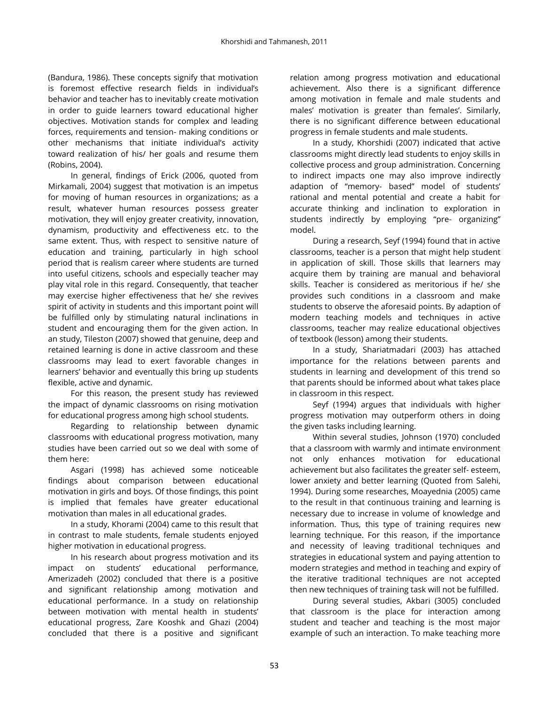(Bandura, 1986). These concepts signify that motivation is foremost effective research fields in individual's behavior and teacher has to inevitably create motivation in order to guide learners toward educational higher objectives. Motivation stands for complex and leading forces, requirements and tension- making conditions or other mechanisms that initiate individual's activity toward realization of his/ her goals and resume them (Robins, 2004).

In general, findings of Erick (2006, quoted from Mirkamali, 2004) suggest that motivation is an impetus for moving of human resources in organizations; as a result, whatever human resources possess greater motivation, they will enjoy greater creativity, innovation, dynamism, productivity and effectiveness etc. to the same extent. Thus, with respect to sensitive nature of education and training, particularly in high school period that is realism career where students are turned into useful citizens, schools and especially teacher may play vital role in this regard. Consequently, that teacher may exercise higher effectiveness that he/ she revives spirit of activity in students and this important point will be fulfilled only by stimulating natural inclinations in student and encouraging them for the given action. In an study, Tileston (2007) showed that genuine, deep and retained learning is done in active classroom and these classrooms may lead to exert favorable changes in learners' behavior and eventually this bring up students flexible, active and dynamic.

For this reason, the present study has reviewed the impact of dynamic classrooms on rising motivation for educational progress among high school students.

Regarding to relationship between dynamic classrooms with educational progress motivation, many studies have been carried out so we deal with some of them here:

Asgari (1998) has achieved some noticeable findings about comparison between educational motivation in girls and boys. Of those findings, this point is implied that females have greater educational motivation than males in all educational grades.

In a study, Khorami (2004) came to this result that in contrast to male students, female students enjoyed higher motivation in educational progress.

In his research about progress motivation and its impact on students' educational performance, Amerizadeh (2002) concluded that there is a positive and significant relationship among motivation and educational performance. In a study on relationship between motivation with mental health in students' educational progress, Zare Kooshk and Ghazi (2004) concluded that there is a positive and significant

relation among progress motivation and educational achievement. Also there is a significant difference among motivation in female and male students and males' motivation is greater than females'. Similarly, there is no significant difference between educational progress in female students and male students.

In a study, Khorshidi (2007) indicated that active classrooms might directly lead students to enjoy skills in collective process and group administration. Concerning to indirect impacts one may also improve indirectly adaption of "memory- based" model of students' rational and mental potential and create a habit for accurate thinking and inclination to exploration in students indirectly by employing "pre- organizing" model.

During a research, Seyf (1994) found that in active classrooms, teacher is a person that might help student in application of skill. Those skills that learners may acquire them by training are manual and behavioral skills. Teacher is considered as meritorious if he/ she provides such conditions in a classroom and make students to observe the aforesaid points. By adaption of modern teaching models and techniques in active classrooms, teacher may realize educational objectives of textbook (lesson) among their students.

In a study, Shariatmadari (2003) has attached importance for the relations between parents and students in learning and development of this trend so that parents should be informed about what takes place in classroom in this respect.

Seyf (1994) argues that individuals with higher progress motivation may outperform others in doing the given tasks including learning.

Within several studies, Johnson (1970) concluded that a classroom with warmly and intimate environment not only enhances motivation for educational achievement but also facilitates the greater self- esteem, lower anxiety and better learning (Quoted from Salehi, 1994). During some researches, Moayednia (2005) came to the result in that continuous training and learning is necessary due to increase in volume of knowledge and information. Thus, this type of training requires new learning technique. For this reason, if the importance and necessity of leaving traditional techniques and strategies in educational system and paying attention to modern strategies and method in teaching and expiry of the iterative traditional techniques are not accepted then new techniques of training task will not be fulfilled.

During several studies, Akbari (3005) concluded that classroom is the place for interaction among student and teacher and teaching is the most major example of such an interaction. To make teaching more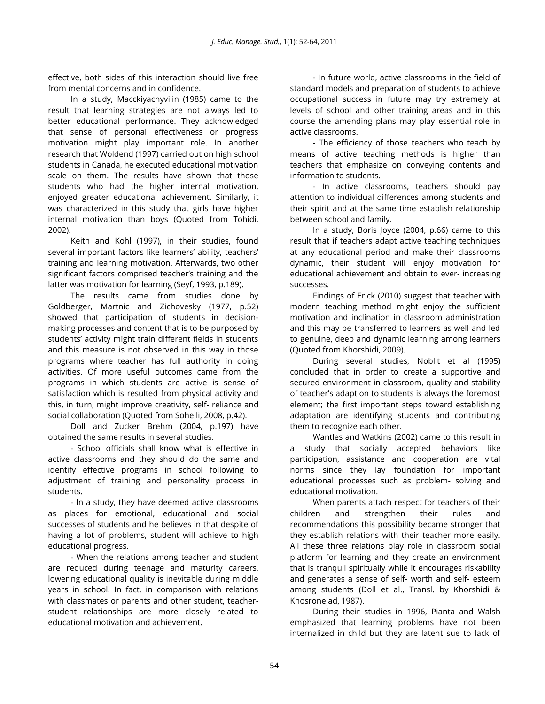effective, both sides of this interaction should live free from mental concerns and in confidence.

In a study, Macckiyachyvilin (1985) came to the result that learning strategies are not always led to better educational performance. They acknowledged that sense of personal effectiveness or progress motivation might play important role. In another research that Woldend (1997) carried out on high school students in Canada, he executed educational motivation scale on them. The results have shown that those students who had the higher internal motivation, enjoyed greater educational achievement. Similarly, it was characterized in this study that girls have higher internal motivation than boys (Quoted from Tohidi, 2002).

Keith and Kohl (1997), in their studies, found several important factors like learners' ability, teachers' training and learning motivation. Afterwards, two other significant factors comprised teacher's training and the latter was motivation for learning (Seyf, 1993, p.189).

The results came from studies done by Goldberger, Martnic and Zichovesky (1977, p.52) showed that participation of students in decisionmaking processes and content that is to be purposed by students' activity might train different fields in students and this measure is not observed in this way in those programs where teacher has full authority in doing activities. Of more useful outcomes came from the programs in which students are active is sense of satisfaction which is resulted from physical activity and this, in turn, might improve creativity, self- reliance and social collaboration (Quoted from Soheili, 2008, p.42).

Doll and Zucker Brehm (2004, p.197) have obtained the same results in several studies.

- School officials shall know what is effective in active classrooms and they should do the same and identify effective programs in school following to adjustment of training and personality process in students.

- In a study, they have deemed active classrooms as places for emotional, educational and social successes of students and he believes in that despite of having a lot of problems, student will achieve to high educational progress.

- When the relations among teacher and student are reduced during teenage and maturity careers, lowering educational quality is inevitable during middle years in school. In fact, in comparison with relations with classmates or parents and other student, teacherstudent relationships are more closely related to educational motivation and achievement.

- In future world, active classrooms in the field of standard models and preparation of students to achieve occupational success in future may try extremely at levels of school and other training areas and in this course the amending plans may play essential role in active classrooms.

- The efficiency of those teachers who teach by means of active teaching methods is higher than teachers that emphasize on conveying contents and information to students.

- In active classrooms, teachers should pay attention to individual differences among students and their spirit and at the same time establish relationship between school and family.

In a study, Boris Joyce (2004, p.66) came to this result that if teachers adapt active teaching techniques at any educational period and make their classrooms dynamic, their student will enjoy motivation for educational achievement and obtain to ever- increasing successes.

Findings of Erick (2010) suggest that teacher with modern teaching method might enjoy the sufficient motivation and inclination in classroom administration and this may be transferred to learners as well and led to genuine, deep and dynamic learning among learners (Quoted from Khorshidi, 2009).

During several studies, Noblit et al (1995) concluded that in order to create a supportive and secured environment in classroom, quality and stability of teacher's adaption to students is always the foremost element; the first important steps toward establishing adaptation are identifying students and contributing them to recognize each other.

Wantles and Watkins (2002) came to this result in a study that socially accepted behaviors like participation, assistance and cooperation are vital norms since they lay foundation for important educational processes such as problem- solving and educational motivation.

When parents attach respect for teachers of their children and strengthen their rules and recommendations this possibility became stronger that they establish relations with their teacher more easily. All these three relations play role in classroom social platform for learning and they create an environment that is tranquil spiritually while it encourages riskability and generates a sense of self- worth and self- esteem among students (Doll et al., Transl. by Khorshidi & Khosronejad, 1987).

During their studies in 1996, Pianta and Walsh emphasized that learning problems have not been internalized in child but they are latent sue to lack of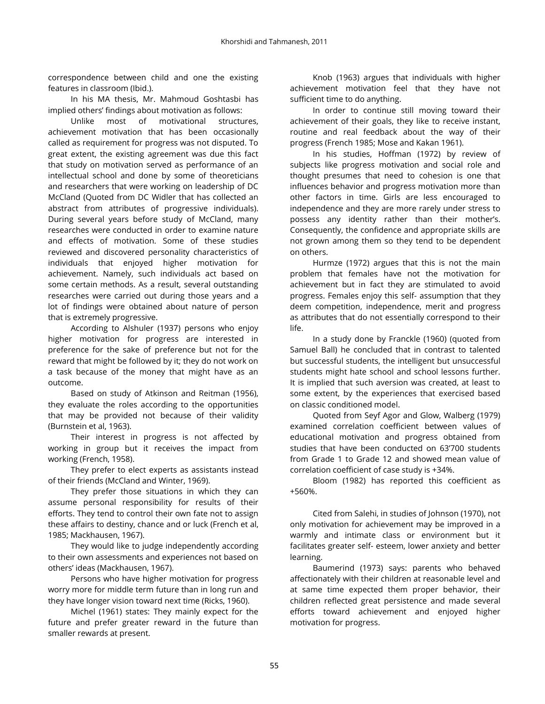correspondence between child and one the existing features in classroom (Ibid.).

In his MA thesis, Mr. Mahmoud Goshtasbi has implied others' findings about motivation as follows:

Unlike most of motivational structures, achievement motivation that has been occasionally called as requirement for progress was not disputed. To great extent, the existing agreement was due this fact that study on motivation served as performance of an intellectual school and done by some of theoreticians and researchers that were working on leadership of DC McCland (Quoted from DC Widler that has collected an abstract from attributes of progressive individuals). During several years before study of McCland, many researches were conducted in order to examine nature and effects of motivation. Some of these studies reviewed and discovered personality characteristics of individuals that enjoyed higher motivation for achievement. Namely, such individuals act based on some certain methods. As a result, several outstanding researches were carried out during those years and a lot of findings were obtained about nature of person that is extremely progressive.

According to Alshuler (1937) persons who enjoy higher motivation for progress are interested in preference for the sake of preference but not for the reward that might be followed by it; they do not work on a task because of the money that might have as an outcome.

Based on study of Atkinson and Reitman (1956), they evaluate the roles according to the opportunities that may be provided not because of their validity (Burnstein et al, 1963).

Their interest in progress is not affected by working in group but it receives the impact from working (French, 1958).

They prefer to elect experts as assistants instead of their friends (McCland and Winter, 1969).

They prefer those situations in which they can assume personal responsibility for results of their efforts. They tend to control their own fate not to assign these affairs to destiny, chance and or luck (French et al, 1985; Mackhausen, 1967).

They would like to judge independently according to their own assessments and experiences not based on others' ideas (Mackhausen, 1967).

Persons who have higher motivation for progress worry more for middle term future than in long run and they have longer vision toward next time (Ricks, 1960).

Michel (1961) states: They mainly expect for the future and prefer greater reward in the future than smaller rewards at present.

Knob (1963) argues that individuals with higher achievement motivation feel that they have not sufficient time to do anything.

In order to continue still moving toward their achievement of their goals, they like to receive instant, routine and real feedback about the way of their progress (French 1985; Mose and Kakan 1961).

In his studies, Hoffman (1972) by review of subjects like progress motivation and social role and thought presumes that need to cohesion is one that influences behavior and progress motivation more than other factors in time. Girls are less encouraged to independence and they are more rarely under stress to possess any identity rather than their mother's. Consequently, the confidence and appropriate skills are not grown among them so they tend to be dependent on others.

Hurmze (1972) argues that this is not the main problem that females have not the motivation for achievement but in fact they are stimulated to avoid progress. Females enjoy this self- assumption that they deem competition, independence, merit and progress as attributes that do not essentially correspond to their life.

In a study done by Franckle (1960) (quoted from Samuel Ball) he concluded that in contrast to talented but successful students, the intelligent but unsuccessful students might hate school and school lessons further. It is implied that such aversion was created, at least to some extent, by the experiences that exercised based on classic conditioned model.

Quoted from Seyf Agor and Glow, Walberg (1979) examined correlation coefficient between values of educational motivation and progress obtained from studies that have been conducted on 63'700 students from Grade 1 to Grade 12 and showed mean value of correlation coefficient of case study is +34%.

Bloom (1982) has reported this coefficient as +560%.

Cited from Salehi, in studies of Johnson (1970), not only motivation for achievement may be improved in a warmly and intimate class or environment but it facilitates greater self- esteem, lower anxiety and better learning.

Baumerind (1973) says: parents who behaved affectionately with their children at reasonable level and at same time expected them proper behavior, their children reflected great persistence and made several efforts toward achievement and enjoyed higher motivation for progress.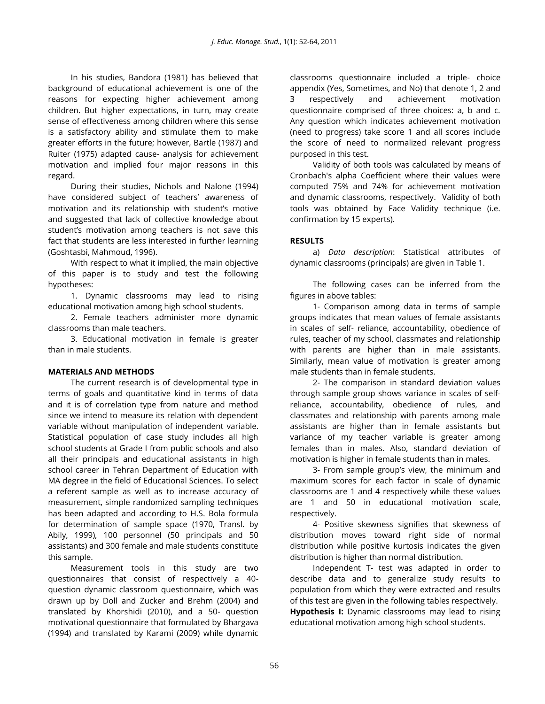In his studies, Bandora (1981) has believed that background of educational achievement is one of the reasons for expecting higher achievement among children. But higher expectations, in turn, may create sense of effectiveness among children where this sense is a satisfactory ability and stimulate them to make greater efforts in the future; however, Bartle (1987) and Ruiter (1975) adapted cause- analysis for achievement motivation and implied four major reasons in this regard.

During their studies, Nichols and Nalone (1994) have considered subject of teachers' awareness of motivation and its relationship with student's motive and suggested that lack of collective knowledge about student's motivation among teachers is not save this fact that students are less interested in further learning (Goshtasbi, Mahmoud, 1996).

With respect to what it implied, the main objective of this paper is to study and test the following hypotheses:

1. Dynamic classrooms may lead to rising educational motivation among high school students.

2. Female teachers administer more dynamic classrooms than male teachers.

3. Educational motivation in female is greater than in male students.

## **MATERIALS AND METHODS**

The current research is of developmental type in terms of goals and quantitative kind in terms of data and it is of correlation type from nature and method since we intend to measure its relation with dependent variable without manipulation of independent variable. Statistical population of case study includes all high school students at Grade I from public schools and also all their principals and educational assistants in high school career in Tehran Department of Education with MA degree in the field of Educational Sciences. To select a referent sample as well as to increase accuracy of measurement, simple randomized sampling techniques has been adapted and according to H.S. Bola formula for determination of sample space (1970, Transl. by Abily, 1999), 100 personnel (50 principals and 50 assistants) and 300 female and male students constitute this sample.

Measurement tools in this study are two questionnaires that consist of respectively a 40 question dynamic classroom questionnaire, which was drawn up by Doll and Zucker and Brehm (2004) and translated by Khorshidi (2010), and a 50- question motivational questionnaire that formulated by Bhargava (1994) and translated by Karami (2009) while dynamic

classrooms questionnaire included a triple- choice appendix (Yes, Sometimes, and No) that denote 1, 2 and 3 respectively and achievement motivation questionnaire comprised of three choices: a, b and c. Any question which indicates achievement motivation (need to progress) take score 1 and all scores include the score of need to normalized relevant progress purposed in this test.

Validity of both tools was calculated by means of Cronbach's alpha Coefficient where their values were computed 75% and 74% for achievement motivation and dynamic classrooms, respectively. Validity of both tools was obtained by Face Validity technique (i.e. confirmation by 15 experts).

## **RESULTS**

a) *Data description*: Statistical attributes of dynamic classrooms (principals) are given in Table 1.

The following cases can be inferred from the figures in above tables:

1- Comparison among data in terms of sample groups indicates that mean values of female assistants in scales of self- reliance, accountability, obedience of rules, teacher of my school, classmates and relationship with parents are higher than in male assistants. Similarly, mean value of motivation is greater among male students than in female students.

2- The comparison in standard deviation values through sample group shows variance in scales of selfreliance, accountability, obedience of rules, and classmates and relationship with parents among male assistants are higher than in female assistants but variance of my teacher variable is greater among females than in males. Also, standard deviation of motivation is higher in female students than in males.

3- From sample group's view, the minimum and maximum scores for each factor in scale of dynamic classrooms are 1 and 4 respectively while these values are 1 and 50 in educational motivation scale, respectively.

4- Positive skewness signifies that skewness of distribution moves toward right side of normal distribution while positive kurtosis indicates the given distribution is higher than normal distribution.

Independent T- test was adapted in order to describe data and to generalize study results to population from which they were extracted and results of this test are given in the following tables respectively. **Hypothesis I:** Dynamic classrooms may lead to rising educational motivation among high school students.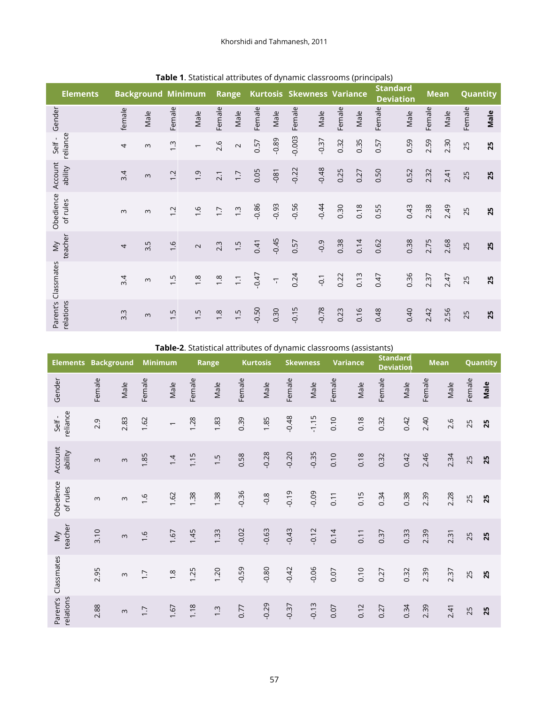| <b>Elements</b>       |                | <b>Background Minimum</b> |               |                          | Range            |                  |         | <b>Kurtosis</b>         | <b>Skewness Variance</b> |         |        |      |        | <b>Standard</b><br><b>Deviation</b> | <b>Mean</b> |      | Quantity |      |
|-----------------------|----------------|---------------------------|---------------|--------------------------|------------------|------------------|---------|-------------------------|--------------------------|---------|--------|------|--------|-------------------------------------|-------------|------|----------|------|
| Gender                | female         | Male                      | Female        | Male                     | Female           | Male             | Female  | Male                    | Female                   | Male    | Female | Male | Female | Male                                | Female      | Male | Female   | Male |
| reliance<br>Self-     | $\overline{4}$ | $\infty$                  | $\ddot{.}$    | $\overline{\phantom{m}}$ | 2.6              | $\sim$           | 0.57    | $-0.89$                 | $-0.003$                 | $-0.37$ | 0.32   | 0.35 | 0.57   | 0.59                                | 2.59        | 2.30 | 25       | 25   |
| Account<br>ability    | 3.4            | $\infty$                  | 1.2           | $\ddot{0}$               | 2.1              | $\overline{1.7}$ | 0.05    | $-081$                  | $-0.22$                  | $-0.48$ | 0.25   | 0.27 | 0.50   | 0.52                                | 2.32        | 2.41 | 25       | 25   |
| Obedience<br>of rules | $\infty$       | $\infty$                  | 1.2           | $\frac{6}{1}$            | $\overline{1.7}$ | $\ddot{.}$       | $-0.86$ | $-0.93$                 | $-0.56$                  | $-0.44$ | 0.30   | 0.18 | 0.55   | 0.43                                | 2.38        | 2.49 | 25       | 25   |
| teacher<br>$\sum$     | $\overline{4}$ | 3.5                       | $\frac{9}{1}$ | $\sim$                   | 2.3              | 1.5              | 0.41    | $-0.45$                 | 0.57                     | $-0.9$  | 0.38   | 0.14 | 0.62   | 0.38                                | 2.75        | 2.68 | 25       | 25   |
| Classmates            | 3.4            | $\infty$                  | $\ddot{1}$ .  | 1.8                      | $\frac{8}{1}$    | $\overline{.}$   | $-0.47$ | $\overline{\mathbb{Q}}$ | 0.24                     | $-0.1$  | 0.22   | 0.13 | 0.47   | 0.36                                | 2.37        | 2.47 | 25       | 25   |
| Parent's<br>relations | 3.3            | $\omega$                  | 1.5           | 1.5                      | $\frac{8}{1}$    | 1.5              | $-0.50$ | 0.30                    | $-0.15$                  | $-0.78$ | 0.23   | 0.16 | 0.48   | 0.40                                | 2.42        | 2.56 | 25       | 25   |

**Table 1**. Statistical attributes of dynamic classrooms (principals)

**Table-2**. Statistical attributes of dynamic classrooms (assistants)

| <b>Elements</b>       | <b>Background</b> |          | <b>Minimum</b>   |                          |        | Range         | <b>Kurtosis</b> |         | <b>Skewness</b> |         | <b>Variance</b> |      | <b>Standard</b><br><b>Deviation</b> |      | <b>Mean</b> |      |        | Quantity |
|-----------------------|-------------------|----------|------------------|--------------------------|--------|---------------|-----------------|---------|-----------------|---------|-----------------|------|-------------------------------------|------|-------------|------|--------|----------|
| Gender                | Female            | Male     | Female           | Male                     | Female | Male          | Female          | Male    | Female          | Male    | Female          | Male | Female                              | Male | Female      | Male | Female | Male     |
| reliance<br>Self-     | 2.9               | 2.83     | 1.62             | $\overline{\phantom{0}}$ | 1.28   | 1.83          | 0.39            | 1.85    | $-0.48$         | $-1.15$ | 0.10            | 0.18 | 0.32                                | 0.42 | 2.40        | 2.6  | 25     | 25       |
| Account<br>ability    | $\omega$          | $\infty$ | 1.85             | 1.4                      | 1.15   | 1.5           | 0.58            | $-0.28$ | $-0.20$         | $-0.35$ | 0.10            | 0.18 | 0.32                                | 0.42 | 2.46        | 2.34 | 25     | 25       |
| Obedience<br>of rules | $\infty$          | $\infty$ | $\frac{9}{1}$    | 1.62                     | 1.38   | 1.38          | $-0.36$         | $-0.8$  | $-0.19$         | $-0.09$ | 0.11            | 0.15 | 0.34                                | 0.38 | 2.39        | 2.28 | 25     | 25       |
| teacher<br>$\sum$     | 3.10              | $\infty$ | $\ddot{0}$ .     | 1.67                     | 1.45   | 1.33          | $-0.02$         | $-0.63$ | $-0.43$         | $-0.12$ | 0.14            | 0.11 | 0.37                                | 0.33 | 2.39        | 2.31 | 25     | 25       |
| Classmates            | 2.95              | $\infty$ | $\overline{1.7}$ | $\frac{8}{1}$            | 1.25   | 1.20          | $-0.59$         | $-0.80$ | $-0.42$         | $-0.06$ | 0.07            | 0.10 | 0.27                                | 0.32 | 2.39        | 2.37 | 25     | 25       |
| Parent's<br>relations | 2.88              | $\infty$ | $\overline{1.7}$ | 1.67                     | 1.18   | $\frac{3}{2}$ | 0.77            | $-0.29$ | $-0.37$         | $-0.13$ | 0.07            | 0.12 | 0.27                                | 0.34 | 2.39        | 2.41 | 25     | 25       |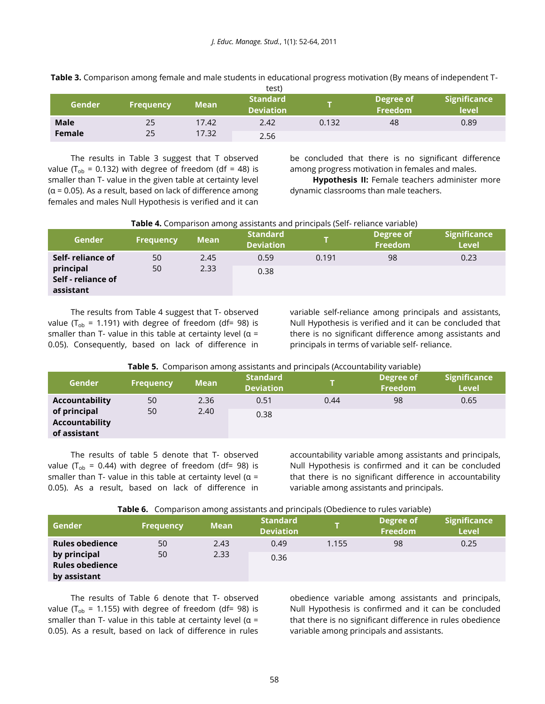|             |                  |             | LESLI                               |       |                      |                              |
|-------------|------------------|-------------|-------------------------------------|-------|----------------------|------------------------------|
| Gender      | <b>Frequency</b> | <b>Mean</b> | <b>Standard</b><br><b>Deviation</b> |       | Degree of<br>Freedom | <b>Significance</b><br>level |
| <b>Male</b> | 25               | 17.42       | 2.42                                | 0.132 | 48                   | 0.89                         |
| Female      | 25               | 17.32       | 2.56                                |       |                      |                              |

**Table 3.** Comparison among female and male students in educational progress motivation (By means of independent T $t^{\text{crit}}$ 

The results in Table 3 suggest that T observed value ( $T_{ob}$  = 0.132) with degree of freedom (df = 48) is smaller than T- value in the given table at certainty level (α = 0.05). As a result, based on lack of difference among females and males Null Hypothesis is verified and it can be concluded that there is no significant difference among progress motivation in females and males.

**Hypothesis II:** Female teachers administer more dynamic classrooms than male teachers.

### **Table 4.** Comparison among assistants and principals (Self- reliance variable)

| Gender                                       | <b>Frequency</b> | <b>Mean</b> | <b>Standard</b><br><b>Deviation</b> |       | Degree of<br><b>Freedom</b> | <b>Significance</b><br><b>Level</b> |
|----------------------------------------------|------------------|-------------|-------------------------------------|-------|-----------------------------|-------------------------------------|
| Self-reliance of                             | 50               | 2.45        | 0.59                                | 0.191 | 98                          | 0.23                                |
| principal<br>Self - reliance of<br>assistant | 50               | 2.33        | 0.38                                |       |                             |                                     |

The results from Table 4 suggest that T- observed value ( $T_{ob}$  = 1.191) with degree of freedom (df= 98) is smaller than T- value in this table at certainty level ( $\alpha$  = 0.05). Consequently, based on lack of difference in variable self-reliance among principals and assistants, Null Hypothesis is verified and it can be concluded that there is no significant difference among assistants and principals in terms of variable self- reliance.

**Table 5.** Comparison among assistants and principals (Accountability variable)

| <b>Gender</b>                                  | <b>Frequency</b> | <b>Mean</b> | <b>Standard</b><br><b>Deviation</b> |      | Degree of<br>Freedom | Significance<br><b>Level</b> |
|------------------------------------------------|------------------|-------------|-------------------------------------|------|----------------------|------------------------------|
| Accountability                                 | 50               | 2.36        | 0.51                                | 0.44 | 98                   | 0.65                         |
| of principal<br>Accountability<br>of assistant | 50               | 2.40        | 0.38                                |      |                      |                              |

The results of table 5 denote that T- observed value ( $T_{\text{ob}}$  = 0.44) with degree of freedom (df= 98) is smaller than T- value in this table at certainty level ( $\alpha$  = 0.05). As a result, based on lack of difference in accountability variable among assistants and principals, Null Hypothesis is confirmed and it can be concluded that there is no significant difference in accountability variable among assistants and principals.

|  | Table 6. Comparison among assistants and principals (Obedience to rules variable) |  |  |
|--|-----------------------------------------------------------------------------------|--|--|
|  |                                                                                   |  |  |

| Gender                                                 | <b>Frequency</b> | <b>Mean</b> | <b>Standard</b><br><b>Deviation</b> |       | Degree of<br><b>Freedom</b> | <b>Significance</b><br><b>Level</b> |
|--------------------------------------------------------|------------------|-------------|-------------------------------------|-------|-----------------------------|-------------------------------------|
| <b>Rules obedience</b>                                 | 50               | 2.43        | 0.49                                | 1.155 | 98                          | 0.25                                |
| by principal<br><b>Rules obedience</b><br>by assistant | 50               | 2.33        | 0.36                                |       |                             |                                     |

The results of Table 6 denote that T- observed value (T<sub>ob</sub> = 1.155) with degree of freedom (df= 98) is smaller than T- value in this table at certainty level ( $\alpha$  = 0.05). As a result, based on lack of difference in rules

obedience variable among assistants and principals, Null Hypothesis is confirmed and it can be concluded that there is no significant difference in rules obedience variable among principals and assistants.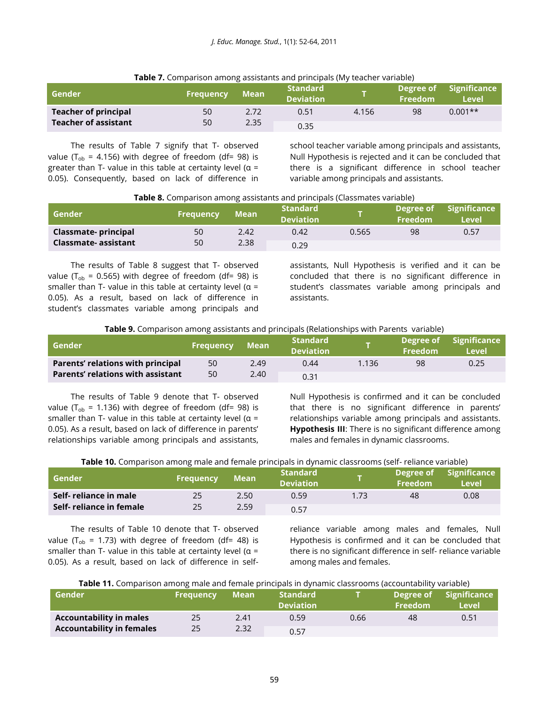| <b>TWIC 7:</b> Companison among assistants and principals (biy teacher variable) |                  |              |                                     |       |                      |                                     |  |  |  |  |
|----------------------------------------------------------------------------------|------------------|--------------|-------------------------------------|-------|----------------------|-------------------------------------|--|--|--|--|
| Gender                                                                           | <b>Frequency</b> | <b>Mean</b>  | <b>Standard</b><br><b>Deviation</b> |       | Degree of<br>Freedom | <b>Significance</b><br><b>Level</b> |  |  |  |  |
| <b>Teacher of principal</b>                                                      | 50               | 2.72<br>2.35 | 0.51                                | 4.156 | 98                   | $0.001**$                           |  |  |  |  |
| <b>Teacher of assistant</b>                                                      | 50               |              | 0.35                                |       |                      |                                     |  |  |  |  |

#### **Table 7.** Comparison among assistants and principals (My teacher variable)

The results of Table 7 signify that T- observed value ( $T_{ob}$  = 4.156) with degree of freedom (df= 98) is greater than T- value in this table at certainty level ( $\alpha$  = 0.05). Consequently, based on lack of difference in school teacher variable among principals and assistants, Null Hypothesis is rejected and it can be concluded that there is a significant difference in school teacher variable among principals and assistants.

| Table 8. Comparison among assistants and principals (Classmates variable) |  |  |  |  |
|---------------------------------------------------------------------------|--|--|--|--|
|                                                                           |  |  |  |  |

| Gender                     | <b>Frequency</b> | <b>Mean</b> | <b>Standard</b><br><b>Deviation</b> |       | Degree of<br>Freedom | <b>Significance</b><br><b>Level</b> |
|----------------------------|------------------|-------------|-------------------------------------|-------|----------------------|-------------------------------------|
| <b>Classmate-principal</b> | 50               | 2.42        | 0.42                                | 0.565 | 98                   | 0.57                                |
| Classmate- assistant       | 50               | 2.38        | 0.29                                |       |                      |                                     |

The results of Table 8 suggest that T- observed value ( $T_{\text{ob}}$  = 0.565) with degree of freedom (df= 98) is smaller than T- value in this table at certainty level ( $\alpha$  = 0.05). As a result, based on lack of difference in student's classmates variable among principals and

assistants, Null Hypothesis is verified and it can be concluded that there is no significant difference in student's classmates variable among principals and assistants.

**Table 9.** Comparison among assistants and principals (Relationships with Parents variable)

| l Gender                                 | <b>Frequency</b> | Mean | <b>Standard</b><br><b>Deviation</b> |       | <b>Freedom</b> | Degree of Significance<br>Level |
|------------------------------------------|------------------|------|-------------------------------------|-------|----------------|---------------------------------|
| Parents' relations with principal        | 50               | 2.49 | 0.44                                | 1.136 | 98             | 0.25                            |
| <b>Parents' relations with assistant</b> | 50               | 2.40 | 0.31                                |       |                |                                 |

The results of Table 9 denote that T- observed value ( $T_{ob}$  = 1.136) with degree of freedom (df= 98) is smaller than T- value in this table at certainty level ( $\alpha$  = 0.05). As a result, based on lack of difference in parents' relationships variable among principals and assistants, Null Hypothesis is confirmed and it can be concluded that there is no significant difference in parents' relationships variable among principals and assistants. **Hypothesis III**: There is no significant difference among males and females in dynamic classrooms.

|  | Table 10. Comparison among male and female principals in dynamic classrooms (self- reliance variable) |  |  |  |
|--|-------------------------------------------------------------------------------------------------------|--|--|--|
|  |                                                                                                       |  |  |  |

| l Gender                 | <b>Frequency</b> | Mean | <b>Standard</b><br><b>Deviation</b> |      | Degree of<br><b>Freedom</b> | <b>Significance</b><br>Level |
|--------------------------|------------------|------|-------------------------------------|------|-----------------------------|------------------------------|
| Self- reliance in male   | 25               | 2.50 | 0.59                                | 1.73 | 48                          | 0.08                         |
| Self- reliance in female | 25               | 2.59 | 0.57                                |      |                             |                              |

The results of Table 10 denote that T- observed value (T<sub>ob</sub> = 1.73) with degree of freedom (df= 48) is smaller than T- value in this table at certainty level ( $\alpha$  = 0.05). As a result, based on lack of difference in self-

reliance variable among males and females, Null Hypothesis is confirmed and it can be concluded that there is no significant difference in self- reliance variable among males and females.

| Table 11. Comparison among male and female principals in dynamic classrooms (accountability variable) |  |  |
|-------------------------------------------------------------------------------------------------------|--|--|
|-------------------------------------------------------------------------------------------------------|--|--|

| l Gender                         | <b>Frequency</b> | Mean | Standard<br><b>Deviation</b> |      | Degree of<br><b>Freedom</b> | Significance<br><b>Level</b> |
|----------------------------------|------------------|------|------------------------------|------|-----------------------------|------------------------------|
| <b>Accountability in males</b>   | 25               | 2.41 | 0.59                         | 0.66 | 48                          | 0.51                         |
| <b>Accountability in females</b> | 25               | 2.32 | 0.57                         |      |                             |                              |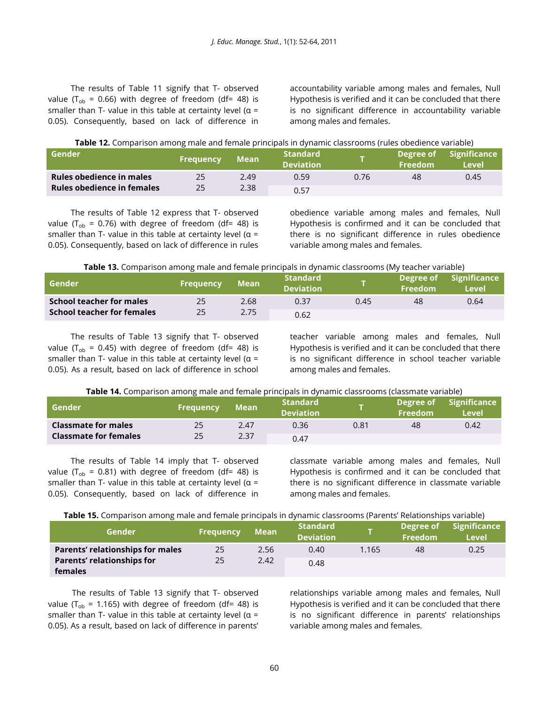The results of Table 11 signify that T- observed value ( $T_{ob}$  = 0.66) with degree of freedom (df= 48) is smaller than T- value in this table at certainty level ( $\alpha$  = 0.05). Consequently, based on lack of difference in

accountability variable among males and females, Null Hypothesis is verified and it can be concluded that there is no significant difference in accountability variable among males and females.

| Table 12. Comparison among male and female principals in dynamic classrooms (rules obedience variable) |
|--------------------------------------------------------------------------------------------------------|
|--------------------------------------------------------------------------------------------------------|

| Gender                     | <b>Frequency</b> | <b>Mean</b> | <b>Standard</b><br><b>Deviation</b> |      | l Degree of <sub>l</sub><br><b>Freedom</b> | Significance<br>Level |
|----------------------------|------------------|-------------|-------------------------------------|------|--------------------------------------------|-----------------------|
| Rules obedience in males   | 25               | 2.49        | 0.59                                | 0.76 | 48                                         | 0.45                  |
| Rules obedience in females | 25               | 2.38        | 0.57                                |      |                                            |                       |

The results of Table 12 express that T- observed value (T<sub>ob</sub> = 0.76) with degree of freedom (df= 48) is smaller than T- value in this table at certainty level ( $\alpha$  = 0.05). Consequently, based on lack of difference in rules obedience variable among males and females, Null Hypothesis is confirmed and it can be concluded that there is no significant difference in rules obedience variable among males and females.

| Table 13. Comparison among male and female principals in dynamic classrooms (My teacher variable) |  |  |
|---------------------------------------------------------------------------------------------------|--|--|
|                                                                                                   |  |  |

| Gender                     | 'Frequency | Mean | <b>Standard</b><br><b>Deviation</b> |      | Degree of A<br>Freedom | <b>Significance</b><br>Level |
|----------------------------|------------|------|-------------------------------------|------|------------------------|------------------------------|
| School teacher for males   | 25         | 2.68 | 0.37                                | 0.45 | 48                     | 0.64                         |
| School teacher for females | 25         | 2.75 | 0.62                                |      |                        |                              |

The results of Table 13 signify that T- observed value ( $T_{ob}$  = 0.45) with degree of freedom (df= 48) is smaller than T- value in this table at certainty level ( $\alpha$  = 0.05). As a result, based on lack of difference in school teacher variable among males and females, Null Hypothesis is verified and it can be concluded that there is no significant difference in school teacher variable among males and females.

| Table 14. Comparison among male and female principals in dynamic classrooms (classmate variable) |  |  |  |  |  |  |
|--------------------------------------------------------------------------------------------------|--|--|--|--|--|--|
|--------------------------------------------------------------------------------------------------|--|--|--|--|--|--|

| Gender                       | <b>Frequency</b> | <b>Mean</b> | <b>Standard</b><br><b>Deviation</b> |      | Degree of<br>Freedom | <b>Significance</b><br><b>Level</b> |
|------------------------------|------------------|-------------|-------------------------------------|------|----------------------|-------------------------------------|
| <b>Classmate for males</b>   | 25               | 2.47        | 0.36                                | 0.81 | 48                   | 0.42                                |
| <b>Classmate for females</b> | 25               | 2.37        | 0.47                                |      |                      |                                     |

The results of Table 14 imply that T- observed value ( $T_{ob}$  = 0.81) with degree of freedom (df= 48) is smaller than T- value in this table at certainty level ( $\alpha$  = 0.05). Consequently, based on lack of difference in

classmate variable among males and females, Null Hypothesis is confirmed and it can be concluded that there is no significant difference in classmate variable among males and females.

**Table 15.** Comparison among male and female principals in dynamic classrooms (Parents' Relationships variable)

| Gender                                  | <b>Frequency</b> | <b>Mean</b> | <b>Standard</b><br><b>Deviation</b> |       | Degree of<br>Freedom | Significance<br><b>Level</b> |
|-----------------------------------------|------------------|-------------|-------------------------------------|-------|----------------------|------------------------------|
| <b>Parents' relationships for males</b> | 25               | 2.56        | 0.40                                | 1.165 | 48                   | 0.25                         |
| <b>Parents' relationships for</b>       | 25               | 2.42        | 0.48                                |       |                      |                              |
| females                                 |                  |             |                                     |       |                      |                              |

The results of Table 13 signify that T- observed value ( $T_{ob}$  = 1.165) with degree of freedom (df= 48) is smaller than T- value in this table at certainty level ( $\alpha$  = 0.05). As a result, based on lack of difference in parents'

relationships variable among males and females, Null Hypothesis is verified and it can be concluded that there is no significant difference in parents' relationships variable among males and females.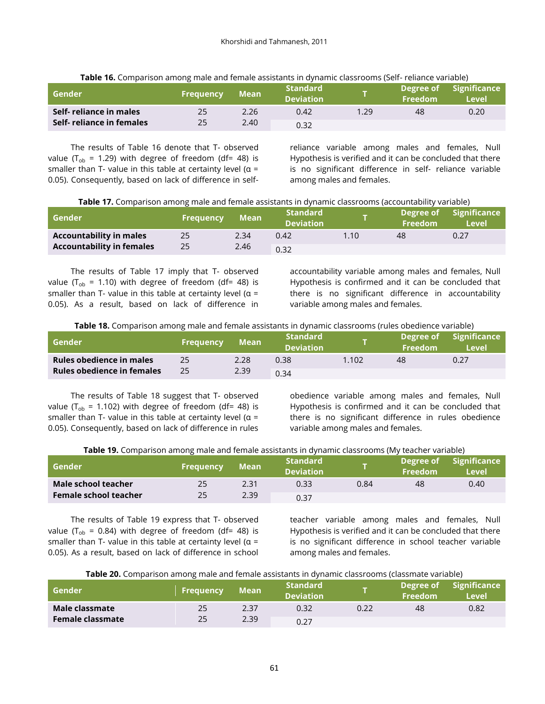| Gender                   | Frequency | Mean | <b>Standard</b><br><b>Deviation</b> |      | Degree of<br><b>Freedom</b> | <b>Significance</b><br>Level |
|--------------------------|-----------|------|-------------------------------------|------|-----------------------------|------------------------------|
| Self- reliance in males  |           | 2.26 | 0.42                                | 1.29 | 48                          | 0.20                         |
| Self-reliance in females |           | 2.40 | 0.32                                |      |                             |                              |

**Table 16.** Comparison among male and female assistants in dynamic classrooms (Self- reliance variable)

The results of Table 16 denote that T- observed value ( $T_{ob}$  = 1.29) with degree of freedom (df= 48) is smaller than T- value in this table at certainty level ( $\alpha$  = 0.05). Consequently, based on lack of difference in selfreliance variable among males and females, Null Hypothesis is verified and it can be concluded that there is no significant difference in self- reliance variable among males and females.

| Table 17. Comparison among male and female assistants in dynamic classrooms (accountability variable) |  |  |  |  |  |
|-------------------------------------------------------------------------------------------------------|--|--|--|--|--|
|-------------------------------------------------------------------------------------------------------|--|--|--|--|--|

| l Gender                         | <b>Frequency</b> | Mean | <b>Standard</b><br><b>Deviation</b> |                | Degree of<br>Freedom | <b>Significance</b><br>Level |
|----------------------------------|------------------|------|-------------------------------------|----------------|----------------------|------------------------------|
| <b>Accountability in males</b>   | 25               | 2.34 | 0.42                                | $1.10^{\circ}$ | 48                   | 0.27                         |
| <b>Accountability in females</b> | 25               | 2.46 | 0.32                                |                |                      |                              |

The results of Table 17 imply that T- observed value ( $T_{ob}$  = 1.10) with degree of freedom (df= 48) is smaller than T- value in this table at certainty level ( $\alpha$  = 0.05). As a result, based on lack of difference in accountability variable among males and females, Null Hypothesis is confirmed and it can be concluded that there is no significant difference in accountability variable among males and females.

**Table 18.** Comparison among male and female assistants in dynamic classrooms (rules obedience variable)

| l Gender                          | <b>Frequency</b> | <b>Mean</b> | <b>Standard</b><br><b>Deviation</b> |       | Degree of<br><b>Freedom</b> | <b>Significance</b><br>Level |
|-----------------------------------|------------------|-------------|-------------------------------------|-------|-----------------------------|------------------------------|
| Rules obedience in males          | 25               | 2.28        | 0.38                                | 1.102 | 48                          | 0.27                         |
| <b>Rules obedience in females</b> |                  | 2.39        | 0.34                                |       |                             |                              |

The results of Table 18 suggest that T- observed value ( $T_{\text{ob}}$  = 1.102) with degree of freedom (df= 48) is smaller than T- value in this table at certainty level ( $\alpha$  = 0.05). Consequently, based on lack of difference in rules

obedience variable among males and females, Null Hypothesis is confirmed and it can be concluded that there is no significant difference in rules obedience variable among males and females.

|  |  |  | Table 19. Comparison among male and female assistants in dynamic classrooms (My teacher variable) |
|--|--|--|---------------------------------------------------------------------------------------------------|
|  |  |  |                                                                                                   |

| l Gender                     | <b>Frequency</b> | Mean | <b>Standard</b><br><b>Deviation</b> |      | Degree of<br><b>Freedom</b> | <b>Significance</b><br>Level |
|------------------------------|------------------|------|-------------------------------------|------|-----------------------------|------------------------------|
| Male school teacher          | 25               | 2.31 | 0.33                                | 0.84 | 48                          | 0.40                         |
| <b>Female school teacher</b> | 25               | 2.39 | 0.37                                |      |                             |                              |

The results of Table 19 express that T- observed value ( $T_{ob}$  = 0.84) with degree of freedom (df= 48) is smaller than T- value in this table at certainty level ( $\alpha$  = 0.05). As a result, based on lack of difference in school teacher variable among males and females, Null Hypothesis is verified and it can be concluded that there is no significant difference in school teacher variable among males and females.

|  | <b>Table 20.</b> Comparison among male and female assistants in dynamic classrooms (classmate variable) |
|--|---------------------------------------------------------------------------------------------------------|
|  |                                                                                                         |

| Gender                  | <b>Frequency</b> | <b>Mean</b> | <b>Standard</b><br><b>Deviation</b> |      | Freedom | Degree of Significance<br>Level |
|-------------------------|------------------|-------------|-------------------------------------|------|---------|---------------------------------|
| Male classmate          | 25               | 2.37        | 0.32                                | 0.22 | 48      | 0.82                            |
| <b>Female classmate</b> |                  | 2.39        | 0.27                                |      |         |                                 |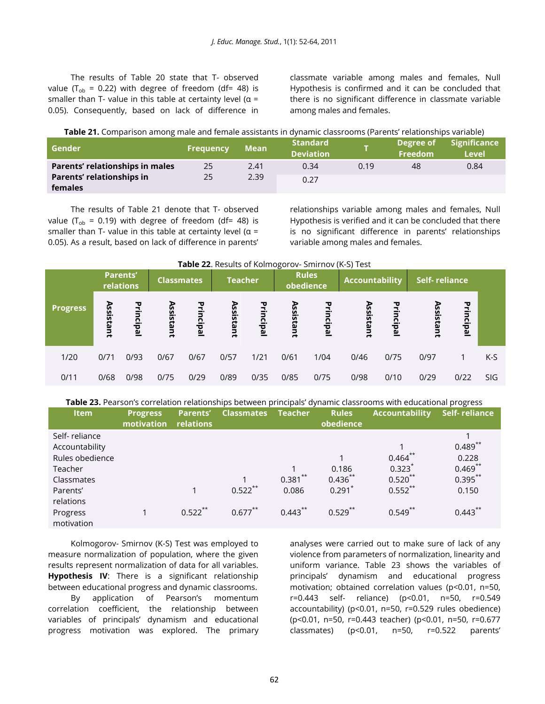The results of Table 20 state that T- observed value ( $T_{ob}$  = 0.22) with degree of freedom (df= 48) is smaller than T- value in this table at certainty level ( $\alpha$  = 0.05). Consequently, based on lack of difference in classmate variable among males and females, Null Hypothesis is confirmed and it can be concluded that there is no significant difference in classmate variable among males and females.

| Table 21. Comparison among male and female assistants in dynamic classrooms (Parents' relationships variable) |  |
|---------------------------------------------------------------------------------------------------------------|--|
|---------------------------------------------------------------------------------------------------------------|--|

| Gender                          | <b>Frequency</b> | Mean | <b>Standard</b><br><b>Deviation</b> |      | Degree of<br>Freedom | <b>Significance</b><br><b>Level</b> |
|---------------------------------|------------------|------|-------------------------------------|------|----------------------|-------------------------------------|
| Parents' relationships in males | 25               | 2.41 | 0.34                                | 0.19 | 48                   | 0.84                                |
| Parents' relationships in       | 25               | 2.39 | 0.27                                |      |                      |                                     |
| females                         |                  |      |                                     |      |                      |                                     |

The results of Table 21 denote that T- observed value ( $T_{\text{ob}}$  = 0.19) with degree of freedom (df= 48) is smaller than T- value in this table at certainty level ( $\alpha$  = 0.05). As a result, based on lack of difference in parents'

relationships variable among males and females, Null Hypothesis is verified and it can be concluded that there is no significant difference in parents' relationships variable among males and females.

|                 |           | <b>Parents'</b><br>relations | <b>Classmates</b> |           | <b>Teacher</b> |           | <b>Rules</b><br>obedience |           | <b>Accountability</b> |           | Self-reliance |           |            |
|-----------------|-----------|------------------------------|-------------------|-----------|----------------|-----------|---------------------------|-----------|-----------------------|-----------|---------------|-----------|------------|
| <b>Progress</b> | Assistant | Principal                    | Assistant         | Principal | Assistant      | Principal | Assistant                 | Principal | Assistant             | Principal | Assistant     | Principal |            |
| 1/20            | 0/71      | 0/93                         | 0/67              | 0/67      | 0/57           | 1/21      | 0/61                      | 1/04      | 0/46                  | 0/75      | 0/97          |           | $K-S$      |
| 0/11            | 0/68      | 0/98                         | 0/75              | 0/29      | 0/89           | 0/35      | 0/85                      | 0/75      | 0/98                  | 0/10      | 0/29          | 0/22      | <b>SIG</b> |

**Table 23.** Pearson's correlation relationships between principals' dynamic classrooms with educational progress

| <b>Item</b>                                                                                                                    | <b>Progress</b><br>motivation | <b>Parents'</b><br>relations | <b>Classmates</b>        | <b>Teacher</b>                    | <b>Rules</b><br>obedience                     | <b>Accountability</b>                                        | Self-reliance                                                          |
|--------------------------------------------------------------------------------------------------------------------------------|-------------------------------|------------------------------|--------------------------|-----------------------------------|-----------------------------------------------|--------------------------------------------------------------|------------------------------------------------------------------------|
| Self-reliance<br>Accountability<br>Rules obedience<br>Teacher<br>Classmates<br>Parents'<br>relations<br>Progress<br>motivation |                               | $0.522***$                   | $0.522***$<br>$0.677***$ | $0.381***$<br>0.086<br>$0.443***$ | 0.186<br>$0.436***$<br>$0.291*$<br>$0.529***$ | $0.464***$<br>0.323<br>$0.520**$<br>$0.552***$<br>$0.549$ ** | $0.489***$<br>0.228<br>$0.469$ **<br>$0.395***$<br>0.150<br>$0.443***$ |

Kolmogorov- Smirnov (K-S) Test was employed to measure normalization of population, where the given results represent normalization of data for all variables. **Hypothesis IV**: There is a significant relationship between educational progress and dynamic classrooms. By application of Pearson's momentum correlation coefficient, the relationship between variables of principals' dynamism and educational progress motivation was explored. The primary analyses were carried out to make sure of lack of any violence from parameters of normalization, linearity and uniform variance. Table 23 shows the variables of principals' dynamism and educational progress motivation; obtained correlation values (p<0.01, n=50, r=0.443 self- reliance) (p<0.01, n=50, r=0.549 accountability) (p<0.01, n=50, r=0.529 rules obedience) (p<0.01, n=50, r=0.443 teacher) (p<0.01, n=50, r=0.677 classmates) (p<0.01, n=50, r=0.522 parents'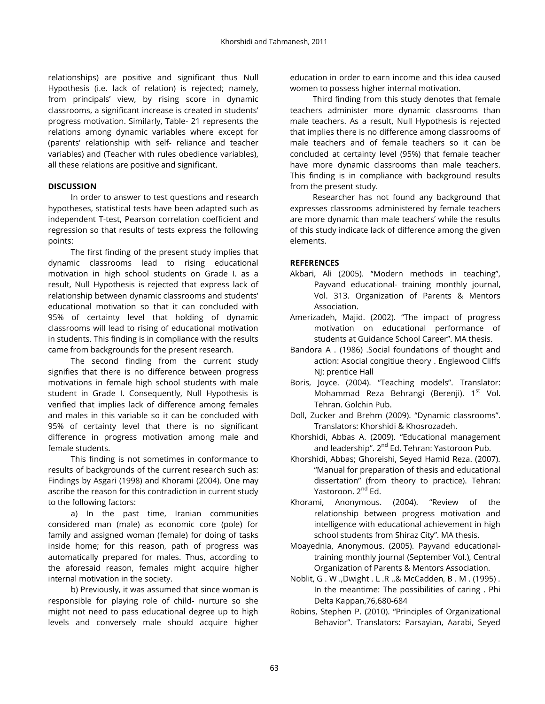relationships) are positive and significant thus Null Hypothesis (i.e. lack of relation) is rejected; namely, from principals' view, by rising score in dynamic classrooms, a significant increase is created in students' progress motivation. Similarly, Table- 21 represents the relations among dynamic variables where except for (parents' relationship with self- reliance and teacher variables) and (Teacher with rules obedience variables), all these relations are positive and significant.

## **DISCUSSION**

In order to answer to test questions and research hypotheses, statistical tests have been adapted such as independent T-test, Pearson correlation coefficient and regression so that results of tests express the following points:

The first finding of the present study implies that dynamic classrooms lead to rising educational motivation in high school students on Grade I. as a result, Null Hypothesis is rejected that express lack of relationship between dynamic classrooms and students' educational motivation so that it can concluded with 95% of certainty level that holding of dynamic classrooms will lead to rising of educational motivation in students. This finding is in compliance with the results came from backgrounds for the present research.

The second finding from the current study signifies that there is no difference between progress motivations in female high school students with male student in Grade I. Consequently, Null Hypothesis is verified that implies lack of difference among females and males in this variable so it can be concluded with 95% of certainty level that there is no significant difference in progress motivation among male and female students.

This finding is not sometimes in conformance to results of backgrounds of the current research such as: Findings by Asgari (1998) and Khorami (2004). One may ascribe the reason for this contradiction in current study to the following factors:

a) In the past time, Iranian communities considered man (male) as economic core (pole) for family and assigned woman (female) for doing of tasks inside home; for this reason, path of progress was automatically prepared for males. Thus, according to the aforesaid reason, females might acquire higher internal motivation in the society.

b) Previously, it was assumed that since woman is responsible for playing role of child- nurture so she might not need to pass educational degree up to high levels and conversely male should acquire higher

education in order to earn income and this idea caused women to possess higher internal motivation.

Third finding from this study denotes that female teachers administer more dynamic classrooms than male teachers. As a result, Null Hypothesis is rejected that implies there is no difference among classrooms of male teachers and of female teachers so it can be concluded at certainty level (95%) that female teacher have more dynamic classrooms than male teachers. This finding is in compliance with background results from the present study.

Researcher has not found any background that expresses classrooms administered by female teachers are more dynamic than male teachers' while the results of this study indicate lack of difference among the given elements.

### **REFERENCES**

- Akbari, Ali (2005). "Modern methods in teaching", Payvand educational- training monthly journal, Vol. 313. Organization of Parents & Mentors Association.
- Amerizadeh, Majid. (2002). "The impact of progress motivation on educational performance of students at Guidance School Career". MA thesis.
- Bandora A . (1986) .Social foundations of thought and action: Asocial congitiue theory . Englewood Cliffs NJ: prentice Hall
- Boris, Joyce. (2004). "Teaching models". Translator: Mohammad Reza Behrangi (Berenji). 1<sup>st</sup> Vol. Tehran. Golchin Pub.
- Doll, Zucker and Brehm (2009). "Dynamic classrooms". Translators: Khorshidi & Khosrozadeh.
- Khorshidi, Abbas A. (2009). "Educational management and leadership". 2<sup>nd</sup> Ed. Tehran: Yastoroon Pub.
- Khorshidi, Abbas; Ghoreishi, Seyed Hamid Reza. (2007). "Manual for preparation of thesis and educational dissertation" (from theory to practice). Tehran: Yastoroon. 2<sup>nd</sup> Ed.
- Khorami, Anonymous. (2004). "Review of the relationship between progress motivation and intelligence with educational achievement in high school students from Shiraz City". MA thesis.
- Moayednia, Anonymous. (2005). Payvand educationaltraining monthly journal (September Vol.), Central Organization of Parents & Mentors Association.
- Noblit, G . W .,Dwight . L .R .,& McCadden, B . M . (1995) . In the meantime: The possibilities of caring . Phi Delta Kappan,76,680-684
- Robins, Stephen P. (2010). "Principles of Organizational Behavior". Translators: Parsayian, Aarabi, Seyed